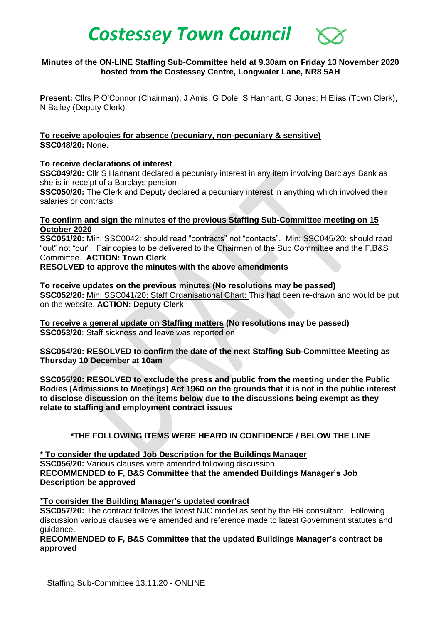# *Costessey Town Council*

## **Minutes of the ON-LINE Staffing Sub-Committee held at 9.30am on Friday 13 November 2020 hosted from the Costessey Centre, Longwater Lane, NR8 5AH**

**Present:** Cllrs P O'Connor (Chairman), J Amis, G Dole, S Hannant, G Jones; H Elias (Town Clerk), N Bailey (Deputy Clerk)

**To receive apologies for absence (pecuniary, non-pecuniary & sensitive) SSC048/20:** None.

**To receive declarations of interest**

**SSC049/20:** Cllr S Hannant declared a pecuniary interest in any item involving Barclays Bank as she is in receipt of a Barclays pension

**SSC050/20:** The Clerk and Deputy declared a pecuniary interest in anything which involved their salaries or contracts

**To confirm and sign the minutes of the previous Staffing Sub-Committee meeting on 15 October 2020**

**SSC051/20:** Min: SSC0042: should read "contracts" not "contacts". Min: SSC045/20: should read "out" not "our". Fair copies to be delivered to the Chairmen of the Sub Committee and the F,B&S Committee. **ACTION: Town Clerk**

**RESOLVED to approve the minutes with the above amendments**

**To receive updates on the previous minutes (No resolutions may be passed) SSC052/20:** Min: SSC041/20: Staff Organisational Chart: This had been re-drawn and would be put on the website. **ACTION: Deputy Clerk**

**To receive a general update on Staffing matters (No resolutions may be passed) SSC053/20:** Staff sickness and leave was reported on

**SSC054/20: RESOLVED to confirm the date of the next Staffing Sub-Committee Meeting as Thursday 10 December at 10am**

**SSC055/20: RESOLVED to exclude the press and public from the meeting under the Public Bodies (Admissions to Meetings) Act 1960 on the grounds that it is not in the public interest to disclose discussion on the items below due to the discussions being exempt as they relate to staffing and employment contract issues**

## **\*THE FOLLOWING ITEMS WERE HEARD IN CONFIDENCE / BELOW THE LINE**

**\* To consider the updated Job Description for the Buildings Manager SSC056/20:** Various clauses were amended following discussion. **RECOMMENDED to F, B&S Committee that the amended Buildings Manager's Job Description be approved**

**\*To consider the Building Manager's updated contract** 

**SSC057/20:** The contract follows the latest NJC model as sent by the HR consultant.Following discussion various clauses were amended and reference made to latest Government statutes and guidance.

**RECOMMENDED to F, B&S Committee that the updated Buildings Manager's contract be approved**